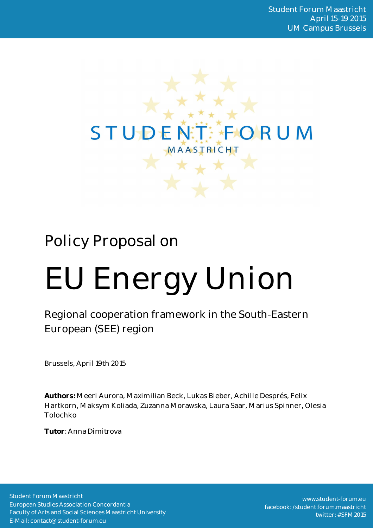

# Policy Proposal on

# EU Energy Union

Regional cooperation framework in the South-Eastern European (SEE) region

Brussels, April 19th 2015

**Authors:** Meeri Aurora, Maximilian Beck, Lukas Bieber, Achille Després, Felix Hartkorn, Maksym Koliada, Zuzanna Morawska, Laura Saar, Marius Spinner, Olesia Tolochko

**Tutor**: Anna Dimitrova

Student Forum Maastricht European Studies Association Concordantia Faculty of Arts and Social Sciences Maastricht University E-Mail: contact@student-forum.eu

www.student-forum.eu facebook: /student.forum.maastricht twitter: #SFM2015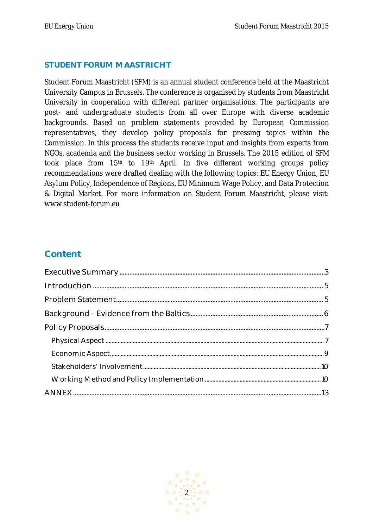#### **STUDENT FORUM MAASTRICHT**

Student Forum Maastricht (SFM) is an annual student conference held at the Maastricht University Campus in Brussels. The conference is organised by students from Maastricht University in cooperation with different partner organisations. The participants are post- and undergraduate students from all over Europe with diverse academic backgrounds. Based on problem statements provided by European Commission representatives, they develop policy proposals for pressing topics within the Commission. In this process the students receive input and insights from experts from NGOs, academia and the business sector working in Brussels. The 2015 edition of SFM took place from 15th to 19th April. In five different working groups policy recommendations were drafted dealing with the following topics: EU Energy Union, EU Asylum Policy, Independence of Regions, EU Minimum Wage Policy, and Data Protection & Digital Market. For more information on Student Forum Maastricht, please visit: www.student-forum.eu

# **Content**

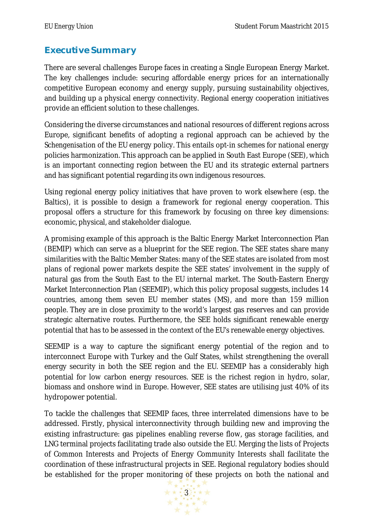# **Executive Summary**

There are several challenges Europe faces in creating a Single European Energy Market. The key challenges include: securing affordable energy prices for an internationally competitive European economy and energy supply, pursuing sustainability objectives, and building up a physical energy connectivity. Regional energy cooperation initiatives provide an efficient solution to these challenges.

Considering the diverse circumstances and national resources of different regions across Europe, significant benefits of adopting a regional approach can be achieved by the *Schengenisation* of the EU energy policy. This entails opt-in schemes for national energy policies harmonization. This approach can be applied in South East Europe (SEE), which is an important connecting region between the EU and its strategic external partners and has significant potential regarding its own indigenous resources.

Using regional energy policy initiatives that have proven to work elsewhere (esp. the Baltics), it is possible to design a framework for regional energy cooperation. This proposal offers a structure for this framework by focusing on three key dimensions: economic, physical, and stakeholder dialogue.

A promising example of this approach is the Baltic Energy Market Interconnection Plan (BEMIP) which can serve as a blueprint for the SEE region. The SEE states share many similarities with the Baltic Member States: many of the SEE states are isolated from most plans of regional power markets despite the SEE states' involvement in the supply of natural gas from the South East to the EU internal market. The South-Eastern Energy Market Interconnection Plan (SEEMIP), which this policy proposal suggests, includes 14 countries, among them seven EU member states (MS), and more than 159 million people. They are in close proximity to the world's largest gas reserves and can provide strategic alternative routes. Furthermore, the SEE holds significant renewable energy potential that has to be assessed in the context of the EU's renewable energy objectives.

SEEMIP is a way to capture the significant energy potential of the region and to interconnect Europe with Turkey and the Gulf States, whilst strengthening the overall energy security in both the SEE region and the EU. SEEMIP has a considerably high potential for low carbon energy resources. SEE is the richest region in hydro, solar, biomass and onshore wind in Europe. However, SEE states are utilising just 40% of its hydropower potential.

To tackle the challenges that SEEMIP faces, three interrelated dimensions have to be addressed. Firstly, physical interconnectivity through building new and improving the existing infrastructure: gas pipelines enabling reverse flow, gas storage facilities, and LNG terminal projects facilitating trade also outside the EU. Merging the lists of Projects of Common Interests and Projects of Energy Community Interests shall facilitate the coordination of these infrastructural projects in SEE. Regional regulatory bodies should be established for the proper monitoring of these projects on both the national and

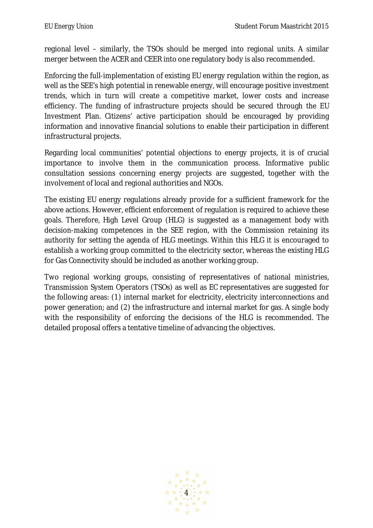regional level – similarly, the TSOs should be merged into regional units. A similar merger between the ACER and CEER into one regulatory body is also recommended.

Enforcing the full-implementation of existing EU energy regulation within the region, as well as the SEE's high potential in renewable energy, will encourage positive investment trends, which in turn will create a competitive market, lower costs and increase efficiency. The funding of infrastructure projects should be secured through the EU Investment Plan. Citizens' active participation should be encouraged by providing information and innovative financial solutions to enable their participation in different infrastructural projects.

Regarding local communities' potential objections to energy projects, it is of crucial importance to involve them in the communication process. Informative public consultation sessions concerning energy projects are suggested, together with the involvement of local and regional authorities and NGOs.

The existing EU energy regulations already provide for a sufficient framework for the above actions. However, efficient enforcement of regulation is required to achieve these goals. Therefore, High Level Group (HLG) is suggested as a management body with decision-making competences in the SEE region, with the Commission retaining its authority for setting the agenda of HLG meetings. Within this HLG it is encouraged to establish a working group committed to the electricity sector, whereas the existing HLG for Gas Connectivity should be included as another working group.

Two regional working groups, consisting of representatives of national ministries, Transmission System Operators (TSOs) as well as EC representatives are suggested for the following areas: (1) internal market for electricity, electricity interconnections and power generation; and (2) the infrastructure and internal market for gas. A single body with the responsibility of enforcing the decisions of the HLG is recommended. The detailed proposal offers a tentative timeline of advancing the objectives.

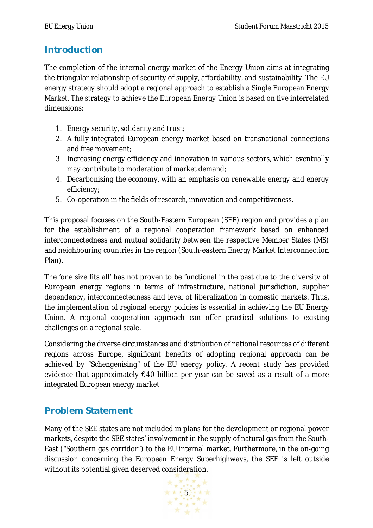## **Introduction**

The completion of the internal energy market of the Energy Union aims at integrating the triangular relationship of security of supply, affordability, and sustainability. The EU energy strategy should adopt a regional approach to establish a Single European Energy Market. The strategy to achieve the European Energy Union is based on five interrelated dimensions:

- 1. Energy security, solidarity and trust;
- 2. A fully integrated European energy market based on transnational connections and free movement;
- 3. Increasing energy efficiency and innovation in various sectors, which eventually may contribute to moderation of market demand;
- 4. Decarbonising the economy, with an emphasis on renewable energy and energy efficiency;
- 5. Co-operation in the fields of research, innovation and competitiveness.

This proposal focuses on the South-Eastern European (SEE) region and provides a plan for the establishment of a regional cooperation framework based on enhanced interconnectedness and mutual solidarity between the respective Member States (MS) and neighbouring countries in the region (South-eastern Energy Market Interconnection Plan).

The 'one size fits all' has not proven to be functional in the past due to the diversity of European energy regions in terms of infrastructure, national jurisdiction, supplier dependency, interconnectedness and level of liberalization in domestic markets. Thus, the implementation of regional energy policies is essential in achieving the EU Energy Union. A regional cooperation approach can offer practical solutions to existing challenges on a regional scale.

Considering the diverse circumstances and distribution of national resources of different regions across Europe, significant benefits of adopting regional approach can be achieved by "Schengenising" of the EU energy policy. A recent study has provided evidence that approximately €40 billion per year can be saved as a result of a more integrated European energy market

## **Problem Statement**

Many of the SEE states are not included in plans for the development or regional power markets, despite the SEE states' involvement in the supply of natural gas from the South-East ("Southern gas corridor") to the EU internal market. Furthermore, in the on-going discussion concerning the European Energy Superhighways, the SEE is left outside without its potential given deserved consideration.

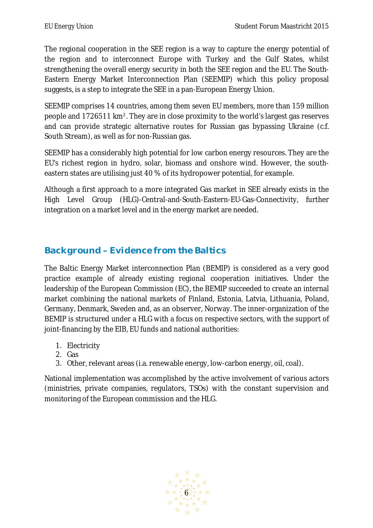The regional cooperation in the SEE region is a way to capture the energy potential of the region and to interconnect Europe with Turkey and the Gulf States, whilst strengthening the overall energy security in both the SEE region and the EU. The South-Eastern Energy Market Interconnection Plan (SEEMIP) which this policy proposal suggests, is a step to integrate the SEE in a pan-European Energy Union.

SEEMIP comprises 14 countries, among them seven EU members, more than 159 million people and 1726511 km². They are in close proximity to the world's largest gas reserves and can provide strategic alternative routes for Russian gas bypassing Ukraine (c.f. South Stream), as well as for non-Russian gas.

SEEMIP has a considerably high potential for low carbon energy resources. They are the EU's richest region in hydro, solar, biomass and onshore wind. However, the southeastern states are utilising just 40 % of its hydropower potential, for example.

Although a first approach to a more integrated Gas market in SEE already exists in the High Level Group (HLG)-Central-and-South-Eastern-EU-Gas-Connectivity, further integration on a market level and in the energy market are needed.

# **Background –Evidence from the Baltics**

The Baltic Energy Market interconnection Plan (BEMIP) is considered as a very good practice example of already existing regional cooperation initiatives. Under the leadership of the European Commission (EC), the BEMIP succeeded to create an internal market combining the national markets of Finland, Estonia, Latvia, Lithuania, Poland, Germany, Denmark, Sweden and, as an observer, Norway. The inner-organization of the BEMIP is structured under a HLG with a focus on respective sectors, with the support of joint-financing by the EIB, EU funds and national authorities:

- 1. Electricity
- 2. Gas
- 3. Other, relevant areas (i.a. renewable energy, low-carbon energy, oil, coal).

National implementation was accomplished by the active involvement of various actors (ministries, private companies, regulators, TSOs) with the constant supervision and monitoring of the European commission and the HLG.

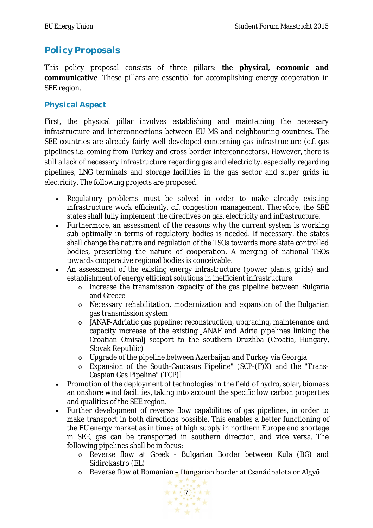# **Policy Proposals**

This policy proposal consists of three pillars: **the physical, economic and communicative**. These pillars are essential for accomplishing energy cooperation in SEE region.

#### **Physical Aspect**

First, the physical pillar involves establishing and maintaining the necessary infrastructure and interconnections between EU MS and neighbouring countries. The SEE countries are already fairly well developed concerning gas infrastructure (c.f. gas pipelines i.e. coming from Turkey and cross border interconnectors). However, there is still a lack of necessary infrastructure regarding gas and electricity, especially regarding pipelines, LNG terminals and storage facilities in the gas sector and super grids in electricity. The following projects are proposed:

- Regulatory problems must be solved in order to make already existing infrastructure work efficiently, c.f. congestion management. Therefore, the SEE states shall fully implement the directives on gas, electricity and infrastructure.
- Furthermore, an assessment of the reasons why the current system is working sub optimally in terms of regulatory bodies is needed. If necessary, the states shall change the nature and regulation of the TSOs towards more state controlled bodies, prescribing the nature of cooperation. A merging of national TSOs towards cooperative regional bodies is conceivable.
- An assessment of the existing energy infrastructure (power plants, grids) and establishment of energy efficient solutions in inefficient infrastructure.
	- o Increase the transmission capacity of the gas pipeline between Bulgaria and Greece
	- o Necessary rehabilitation, modernization and expansion of the Bulgarian gas transmission system
	- o JANAF-Adriatic gas pipeline: reconstruction, upgrading, maintenance and capacity increase of the existing JANAF and Adria pipelines linking the Croatian Omisalj seaport to the southern Druzhba (Croatia, Hungary, Slovak Republic)
	- o Upgrade of the pipeline between Azerbaijan and Turkey via Georgia
	- o Expansion of the South-Caucasus Pipeline" (SCP-(F)X) and the "Trans-Caspian Gas Pipeline" (TCP)]
- Promotion of the deployment of technologies in the field of hydro, solar, biomass an onshore wind facilities, taking into account the specific low carbon properties and qualities of the SEE region.
- Further development of reverse flow capabilities of gas pipelines, in order to make transport in both directions possible. This enables a better functioning of the EU energy market as in times of high supply in northern Europe and shortage in SEE, gas can be transported in southern direction, and vice versa. The following pipelines shall be in focus:
	- o Reverse flow at Greek Bulgarian Border between Kula (BG) and Sidirokastro (EL)
	- o Reverse flow at Romanian Hungarian border at Csanádpalota or Algyő

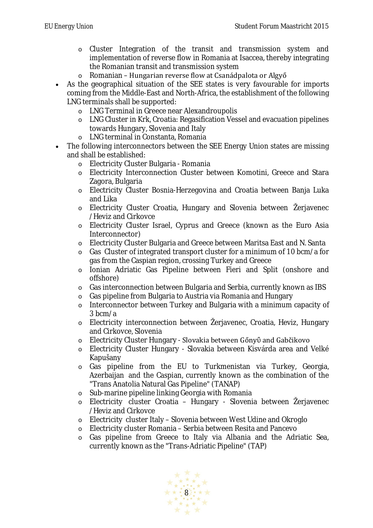- o Cluster Integration of the transit and transmission system and implementation of reverse flow in Romania at Isaccea, thereby integrating the Romanian transit and transmission system
- o Romanian Hungarian reverse flow at Csanádpalota or Algyő
- As the geographical situation of the SEE states is very favourable for imports coming from the Middle-East and North-Africa, the establishment of the following LNG terminals shall be supported:
	- o LNG Terminal in Greece near Alexandroupolis
	- o LNG Cluster in Krk, Croatia: Regasification Vessel and evacuation pipelines towards Hungary, Slovenia and Italy
	- o LNG terminal in Constanta, Romania
- The following interconnectors between the SEE Energy Union states are missing and shall be established:
	- o Electricity Cluster Bulgaria Romania
	- o Electricity Interconnection Cluster between Komotini, Greece and Stara Zagora, Bulgaria
	- o Electricity Cluster Bosnia-Herzegovina and Croatia between Banja Luka and Lika
	- o Electricity Cluster Croatia, Hungary and Slovenia between Žerjavenec /Heviz and Cirkovce
	- o Electricity Cluster Israel, Cyprus and Greece (known as the Euro Asia Interconnector)
	- o Electricity Cluster Bulgaria and Greece between Maritsa East and N. Santa
	- o Gas Cluster of integrated transport cluster for a minimum of 10 bcm/a for gas from the Caspian region, crossing Turkey and Greece
	- o Ionian Adriatic Gas Pipeline between Fieri and Split (onshore and offshore)
	- o Gas interconnection between Bulgaria and Serbia, currently known as IBS
	- o Gas pipeline from Bulgaria to Austria via Romania and Hungary
	- o Interconnector between Turkey and Bulgaria with a minimum capacity of 3 bcm/a
	- o Electricity interconnection between Žerjavenec, Croatia, Heviz, Hungary and Cirkovce, Slovenia
	- o Electricity Cluster Hungary Slovakia between Gőnyὒ and Gabčikovo
	- o Electricity Cluster Hungary Slovakia between Kisvárda area and Velké Kapušany
	- o Gas pipeline from the EU to Turkmenistan via Turkey, Georgia, Azerbaijan and the Caspian, currently known as the combination of the "Trans Anatolia Natural Gas Pipeline" (TANAP)
	- o Sub-marine pipeline linking Georgia with Romania
	- o Electricity cluster Croatia Hungary Slovenia between Žerjavenec /Heviz and Cirkovce
	- o Electricity cluster Italy Slovenia between West Udine and Okroglo
	- o Electricity cluster Romania Serbia between Resita and Pancevo
	- o Gas pipeline from Greece to Italy via Albania and the Adriatic Sea, currently known as the "Trans-Adriatic Pipeline" (TAP)

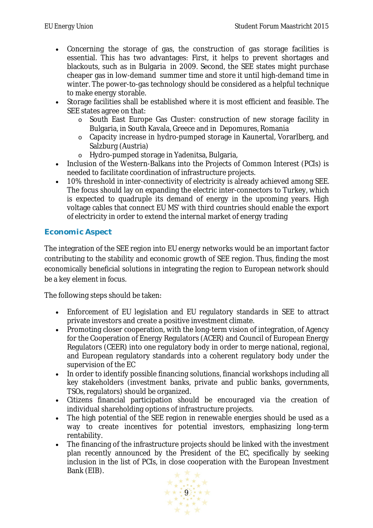- Concerning the storage of gas, the construction of gas storage facilities is essential. This has two advantages: First, it helps to prevent shortages and blackouts, such as in Bulgaria in 2009. Second, the SEE states might purchase cheaper gas in low-demand summer time and store it until high-demand time in winter. The power-to-gas technology should be considered as a helpful technique to make energy storable.
- Storage facilities shall be established where it is most efficient and feasible. The SEE states agree on that:
	- o South East Europe Gas Cluster: construction of new storage facility in Bulgaria, in South Kavala, Greece and in Depomures, Romania
	- o Capacity increase in hydro-pumped storage in Kaunertal, Vorarlberg, and Salzburg (Austria)
	- o Hydro-pumped storage in Yadenitsa, Bulgaria,
- Inclusion of the Western-Balkans into the Projects of Common Interest (PCIs) is needed to facilitate coordination of infrastructure projects.
- 10% threshold in inter-connectivity of electricity is already achieved among SEE. The focus should lay on expanding the electric inter-connectors to Turkey, which is expected to quadruple its demand of energy in the upcoming years. High voltage cables that connect EU MS' with third countries should enable the export of electricity in order to extend the internal market of energy trading

#### **Economic Aspect**

The integration of the SEE region into EU energy networks would be an important factor contributing to the stability and economic growth of SEE region. Thus, finding the most economically beneficial solutions in integrating the region to European network should be a key element in focus.

The following steps should be taken:

- Enforcement of EU legislation and EU regulatory standards in SEE to attract private investors and create a positive investment climate.
- Promoting closer cooperation, with the long-term vision of integration, of Agency for the Cooperation of Energy Regulators (ACER) and Council of European Energy Regulators (CEER) into one regulatory body in order to merge national, regional, and European regulatory standards into a coherent regulatory body under the supervision of the EC
- In order to identify possible financing solutions, financial workshops including all key stakeholders (investment banks, private and public banks, governments, TSOs, regulators) should be organized.
- Citizens financial participation should be encouraged via the creation of individual shareholding options of infrastructure projects.
- The high potential of the SEE region in renewable energies should be used as a way to create incentives for potential investors, emphasizing long-term rentability.
- The financing of the infrastructure projects should be linked with the investment plan recently announced by the President of the EC, specifically by seeking inclusion in the list of PCIs, in close cooperation with the European Investment Bank (EIB).

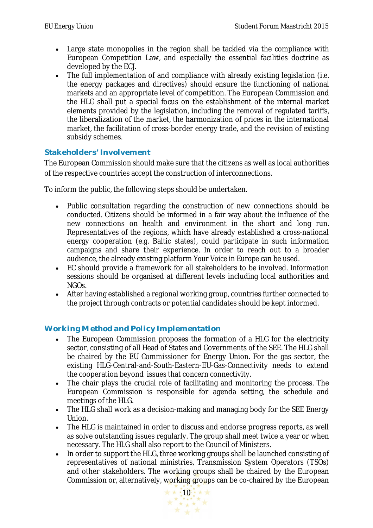- Large state monopolies in the region shall be tackled via the compliance with European Competition Law, and especially the essential facilities doctrine as developed by the ECJ.
- The full implementation of and compliance with already existing legislation (i.e. the energy packages and directives) should ensure the functioning of national markets and an appropriate level of competition. The European Commission and the HLG shall put a special focus on the establishment of the internal market elements provided by the legislation, including the removal of regulated tariffs, the liberalization of the market, the harmonization of prices in the international market, the facilitation of cross-border energy trade, and the revision of existing subsidy schemes.

#### **Stakeholders' Involvement**

The European Commission should make sure that the citizens as well as local authorities of the respective countries accept the construction of interconnections.

To inform the public, the following steps should be undertaken.

- Public consultation regarding the construction of new connections should be conducted. Citizens should be informed in a fair way about the influence of the new connections on health and environment in the short and long run. Representatives of the regions, which have already established a cross-national energy cooperation (e.g. Baltic states), could participate in such information campaigns and share their experience. In order to reach out to a broader audience, the already existing platform *Your Voice in Europe* can be used.
- EC should provide a framework for all stakeholders to be involved. Information sessions should be organised at different levels including local authorities and NGOs.
- After having established a regional working group, countries further connected to the project through contracts or potential candidates should be kept informed.

#### **Working Method and Policy Implementation**

- The European Commission proposes the formation of a HLG for the electricity sector, consisting of all Head of States and Governments of the SEE. The HLG shall be chaired by the EU Commissioner for Energy Union. For the gas sector, the existing HLG-Central-and-South-Eastern-EU-Gas-Connectivity needs to extend the cooperation beyond issues that concern connectivity.
- The chair plays the crucial role of facilitating and monitoring the process. The European Commission is responsible for agenda setting, the schedule and meetings of the HLG.
- The HLG shall work as a decision-making and managing body for the SEE Energy Union.
- The HLG is maintained in order to discuss and endorse progress reports, as well as solve outstanding issues regularly. The group shall meet twice a year or when necessary. The HLG shall also report to the Council of Ministers.
- In order to support the HLG, three working groups shall be launched consisting of representatives of national ministries, Transmission System Operators (TSOs) and other stakeholders. The working groups shall be chaired by the European Commission or, alternatively, working groups can be co-chaired by the European

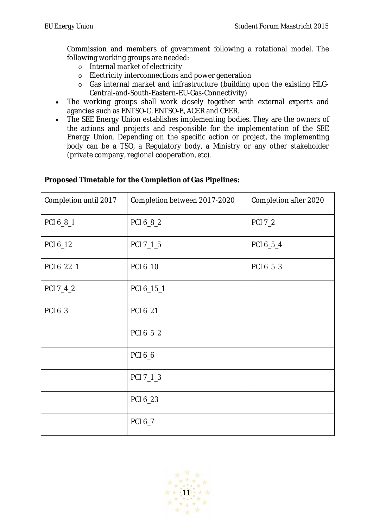Commission and members of government following a rotational model. The following working groups are needed:

- o Internal market of electricity
- o Electricity interconnections and power generation
- o Gas internal market and infrastructure (building upon the existing HLG-Central-and-South-Eastern-EU-Gas-Connectivity)
- The working groups shall work closely together with external experts and agencies such as ENTSO-G, ENTSO-E, ACER and CEER.
- The SEE Energy Union establishes implementing bodies. They are the owners of the actions and projects and responsible for the implementation of the SEE Energy Union. Depending on the specific action or project, the implementing body can be a TSO, a Regulatory body, a Ministry or any other stakeholder (private company, regional cooperation, etc).

| Completion until 2017 | Completion between 2017-2020 | Completion after 2020 |
|-----------------------|------------------------------|-----------------------|
| PCI 6_8_1             | PCI 6_8_2                    | <b>PCI 7_2</b>        |
| PCI 6_12              | PCI 7_1_5                    | PCI 6_5_4             |
| PCI 6_22_1            | PCI 6_10                     | PCI 6_5_3             |
| PCI 7_4_2             | PCI 6_15_1                   |                       |
| PCI 6_3               | PCI 6_21                     |                       |
|                       | PCI 6_5_2                    |                       |
|                       | PCI 6_6                      |                       |
|                       | PCI 7_1_3                    |                       |
|                       | PCI 6_23                     |                       |
|                       | PCI 6_7                      |                       |

#### **Proposed Timetable for the Completion of Gas Pipelines:**

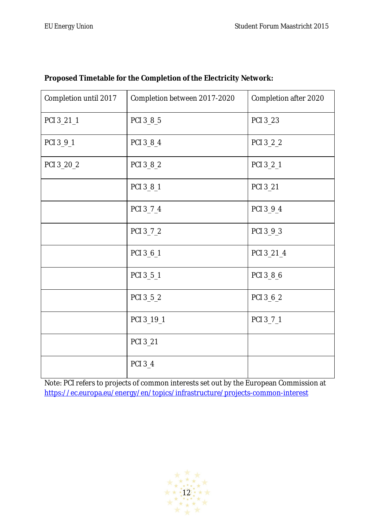| Completion until 2017 | Completion between 2017-2020 | Completion after 2020 |
|-----------------------|------------------------------|-----------------------|
| PCI 3_21_1            | PCI 3_8_5                    | PCI 3_23              |
| PCI 3_9_1             | PCI 3_8_4                    | PCI 3_2_2             |
| PCI 3_20_2            | PCI 3_8_2                    | PCI 3_2_1             |
|                       | PCI 3_8_1                    | PCI 3_21              |
|                       | PCI 3_7_4                    | PCI 3_9_4             |
|                       | PCI 3_7_2                    | PCI 3_9_3             |
|                       | PCI 3_6_1                    | PCI 3_21_4            |
|                       | PCI 3_5_1                    | PCI 3_8_6             |
|                       | PCI 3_5_2                    | PCI 3_6_2             |
|                       | PCI 3_19_1                   | PCI 3_7_1             |
|                       | PCI 3_21                     |                       |
|                       | PCI 3_4                      |                       |

#### **Proposed Timetable for the Completion of the Electricity Network:**

Note: PCI refers to projects of common interests set out by the European Commission at https://ec.europa.eu/energy/en/topics/infrastructure/projects-common-interest